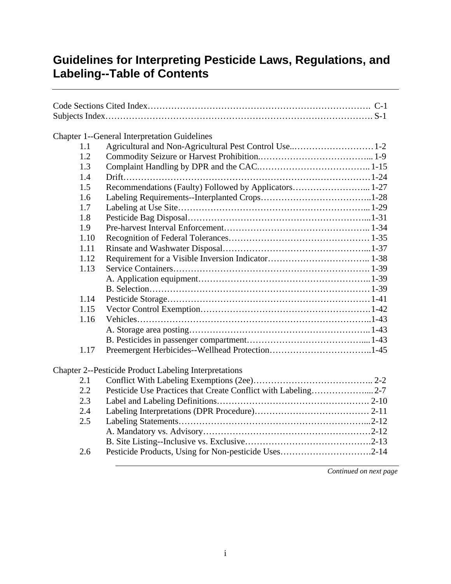|      | <b>Chapter 1--General Interpretation Guidelines</b>          |
|------|--------------------------------------------------------------|
| 1.1  | Agricultural and Non-Agricultural Pest Control Use1-2        |
| 1.2  |                                                              |
| 1.3  |                                                              |
| 1.4  |                                                              |
| 1.5  | Recommendations (Faulty) Followed by Applicators 1-27        |
| 1.6  |                                                              |
| 1.7  |                                                              |
| 1.8  |                                                              |
| 1.9  |                                                              |
| 1.10 |                                                              |
| 1.11 |                                                              |
| 1.12 |                                                              |
| 1.13 |                                                              |
|      |                                                              |
|      |                                                              |
| 1.14 |                                                              |
| 1.15 |                                                              |
| 1.16 |                                                              |
|      |                                                              |
|      |                                                              |
| 1.17 |                                                              |
|      | <b>Chapter 2--Pesticide Product Labeling Interpretations</b> |
| 2.1  |                                                              |
| 2.2  |                                                              |
| 2.3  |                                                              |
| 2.4  |                                                              |
| 2.5  |                                                              |
|      |                                                              |
|      |                                                              |
| 2.6  |                                                              |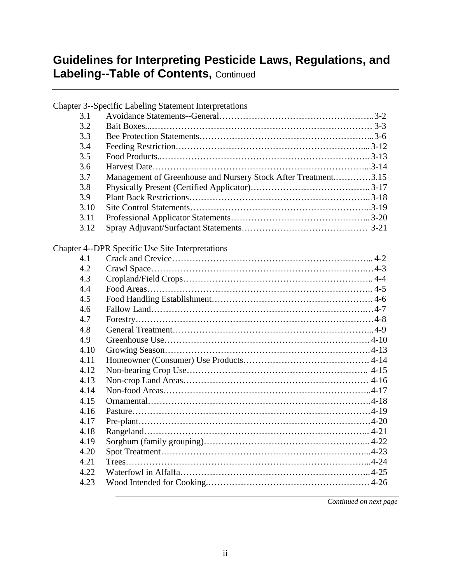|      | <b>Chapter 3--Specific Labeling Statement Interpretations</b>  |
|------|----------------------------------------------------------------|
| 3.1  |                                                                |
| 3.2  |                                                                |
| 3.3  |                                                                |
| 3.4  |                                                                |
| 3.5  |                                                                |
| 3.6  |                                                                |
| 3.7  | Management of Greenhouse and Nursery Stock After Treatment3.15 |
| 3.8  |                                                                |
| 3.9  |                                                                |
| 3.10 |                                                                |
| 3.11 |                                                                |
| 3.12 |                                                                |
|      | <b>Chapter 4--DPR Specific Use Site Interpretations</b>        |
| 4.1  |                                                                |
| 4.2  |                                                                |
| 4.3  |                                                                |
| 4.4  |                                                                |
| 4.5  |                                                                |
| 4.6  |                                                                |
| 4.7  |                                                                |
| 4.8  |                                                                |
| 4.9  |                                                                |
| 4.10 |                                                                |
| 4.11 |                                                                |
| 4.12 |                                                                |
| 4.13 |                                                                |
| 4.14 |                                                                |
| 4.15 |                                                                |
| 4.16 |                                                                |
| 4.17 |                                                                |
| 4.18 |                                                                |
| 4.19 |                                                                |
| 4.20 |                                                                |
| 4.21 |                                                                |
| 4.22 |                                                                |
| 4.23 |                                                                |
|      |                                                                |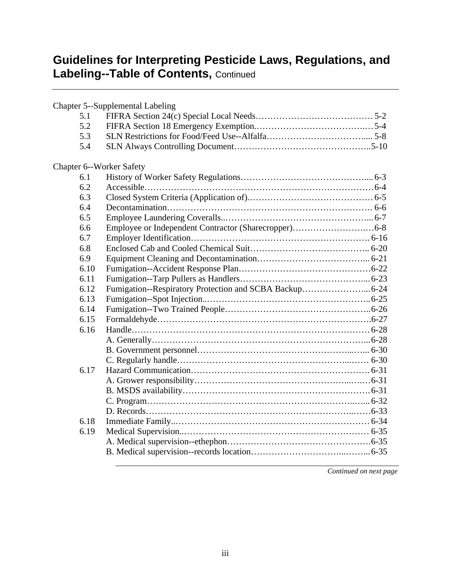|                                 | Chapter 5--Supplemental Labeling |
|---------------------------------|----------------------------------|
| 5.1                             |                                  |
| 5.2                             |                                  |
| 5.3                             |                                  |
| 5.4                             |                                  |
| <b>Chapter 6--Worker Safety</b> |                                  |
| 6.1                             |                                  |
| 6.2                             |                                  |
| 6.3                             |                                  |
| 6.4                             |                                  |
| 6.5                             |                                  |
| 6.6                             |                                  |
| 6.7                             |                                  |
| 6.8                             |                                  |
| 6.9                             |                                  |
| 6.10                            |                                  |
| 6.11                            |                                  |
| 6.12                            |                                  |
| 6.13                            |                                  |
| 6.14                            |                                  |
| 6.15                            |                                  |
| 6.16                            |                                  |
|                                 |                                  |
|                                 |                                  |
|                                 |                                  |
| 6.17                            |                                  |
|                                 |                                  |
|                                 |                                  |
|                                 |                                  |
|                                 |                                  |
| 6.18                            |                                  |
| 6.19                            |                                  |
|                                 |                                  |
|                                 |                                  |
|                                 |                                  |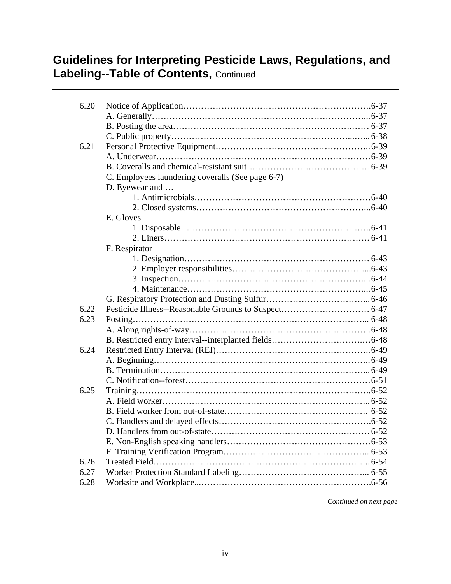| 6.20 |                                                  |  |
|------|--------------------------------------------------|--|
|      |                                                  |  |
|      |                                                  |  |
|      |                                                  |  |
| 6.21 |                                                  |  |
|      |                                                  |  |
|      |                                                  |  |
|      | C. Employees laundering coveralls (See page 6-7) |  |
|      | D. Eyewear and                                   |  |
|      |                                                  |  |
|      |                                                  |  |
|      | E. Gloves                                        |  |
|      |                                                  |  |
|      |                                                  |  |
|      | F. Respirator                                    |  |
|      |                                                  |  |
|      |                                                  |  |
|      |                                                  |  |
|      |                                                  |  |
|      |                                                  |  |
| 6.22 |                                                  |  |
| 6.23 |                                                  |  |
|      |                                                  |  |
|      |                                                  |  |
| 6.24 |                                                  |  |
|      |                                                  |  |
|      |                                                  |  |
|      |                                                  |  |
| 6.25 |                                                  |  |
|      |                                                  |  |
|      |                                                  |  |
|      |                                                  |  |
|      |                                                  |  |
|      |                                                  |  |
|      |                                                  |  |
| 6.26 |                                                  |  |
| 6.27 |                                                  |  |
| 6.28 |                                                  |  |
|      |                                                  |  |